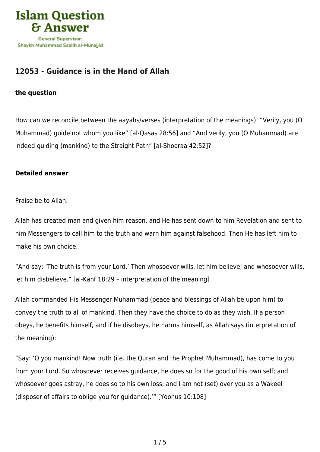

## **[12053 - Guidance is in the Hand of Allah](https://islamqa.info/en/answers/12053/guidance-is-in-the-hand-of-allah)**

## **the question**

How can we reconcile between the aayahs/verses (interpretation of the meanings): "Verily, you (O Muhammad) guide not whom you like" [al-Qasas 28:56] and "And verily, you (O Muhammad) are indeed guiding (mankind) to the Straight Path" [al-Shooraa 42:52]?

## **Detailed answer**

Praise be to Allah.

Allah has created man and given him reason, and He has sent down to him Revelation and sent to him Messengers to call him to the truth and warn him against falsehood. Then He has left him to make his own choice.

"And say: 'The truth is from your Lord.' Then whosoever wills, let him believe; and whosoever wills, let him disbelieve." [al-Kahf 18:29 – interpretation of the meaning]

Allah commanded His Messenger Muhammad (peace and blessings of Allah be upon him) to convey the truth to all of mankind. Then they have the choice to do as they wish. If a person obeys, he benefits himself, and if he disobeys, he harms himself, as Allah says (interpretation of the meaning):

"Say: 'O you mankind! Now truth (i.e. the Quran and the Prophet Muhammad), has come to you from your Lord. So whosoever receives guidance, he does so for the good of his own self; and whosoever goes astray, he does so to his own loss; and I am not (set) over you as a Wakeel (disposer of affairs to oblige you for guidance).'" [Yoonus 10:108]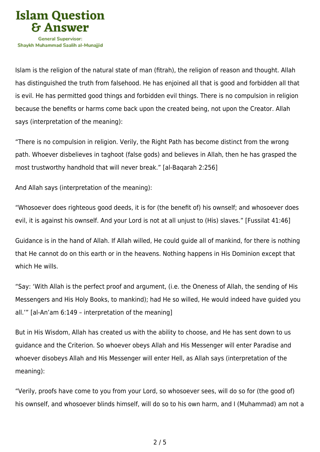

Islam is the religion of the natural state of man (fitrah), the religion of reason and thought. Allah has distinguished the truth from falsehood. He has enjoined all that is good and forbidden all that is evil. He has permitted good things and forbidden evil things. There is no compulsion in religion because the benefits or harms come back upon the created being, not upon the Creator. Allah says (interpretation of the meaning):

"There is no compulsion in religion. Verily, the Right Path has become distinct from the wrong path. Whoever disbelieves in taghoot (false gods) and believes in Allah, then he has grasped the most trustworthy handhold that will never break." [al-Baqarah 2:256]

And Allah says (interpretation of the meaning):

"Whosoever does righteous good deeds, it is for (the benefit of) his ownself; and whosoever does evil, it is against his ownself. And your Lord is not at all unjust to (His) slaves." [Fussilat 41:46]

Guidance is in the hand of Allah. If Allah willed, He could guide all of mankind, for there is nothing that He cannot do on this earth or in the heavens. Nothing happens in His Dominion except that which He wills.

"Say: 'With Allah is the perfect proof and argument, (i.e. the Oneness of Allah, the sending of His Messengers and His Holy Books, to mankind); had He so willed, He would indeed have guided you all.'" [al-An'am 6:149 – interpretation of the meaning]

But in His Wisdom, Allah has created us with the ability to choose, and He has sent down to us guidance and the Criterion. So whoever obeys Allah and His Messenger will enter Paradise and whoever disobeys Allah and His Messenger will enter Hell, as Allah says (interpretation of the meaning):

"Verily, proofs have come to you from your Lord, so whosoever sees, will do so for (the good of) his ownself, and whosoever blinds himself, will do so to his own harm, and I (Muhammad) am not a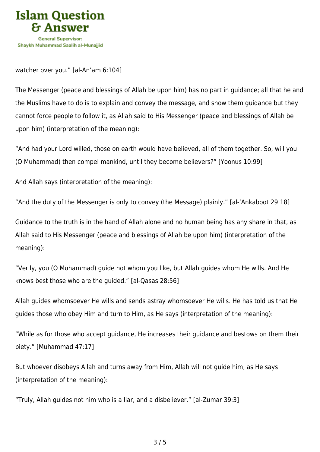

watcher over you." [al-An'am 6:104]

The Messenger (peace and blessings of Allah be upon him) has no part in guidance; all that he and the Muslims have to do is to explain and convey the message, and show them guidance but they cannot force people to follow it, as Allah said to His Messenger (peace and blessings of Allah be upon him) (interpretation of the meaning):

"And had your Lord willed, those on earth would have believed, all of them together. So, will you (O Muhammad) then compel mankind, until they become believers?" [Yoonus 10:99]

And Allah says (interpretation of the meaning):

"And the duty of the Messenger is only to convey (the Message) plainly." [al-'Ankaboot 29:18]

Guidance to the truth is in the hand of Allah alone and no human being has any share in that, as Allah said to His Messenger (peace and blessings of Allah be upon him) (interpretation of the meaning):

"Verily, you (O Muhammad) guide not whom you like, but Allah guides whom He wills. And He knows best those who are the guided." [al-Qasas 28:56]

Allah guides whomsoever He wills and sends astray whomsoever He wills. He has told us that He guides those who obey Him and turn to Him, as He says (interpretation of the meaning):

"While as for those who accept guidance, He increases their guidance and bestows on them their piety." [Muhammad 47:17]

But whoever disobeys Allah and turns away from Him, Allah will not guide him, as He says (interpretation of the meaning):

"Truly, Allah guides not him who is a liar, and a disbeliever." [al-Zumar 39:3]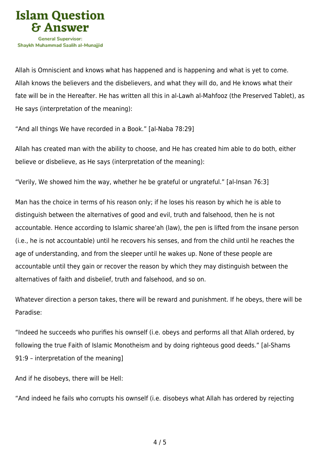

Allah is Omniscient and knows what has happened and is happening and what is yet to come. Allah knows the believers and the disbelievers, and what they will do, and He knows what their fate will be in the Hereafter. He has written all this in al-Lawh al-Mahfooz (the Preserved Tablet), as He says (interpretation of the meaning):

"And all things We have recorded in a Book." [al-Naba 78:29]

Allah has created man with the ability to choose, and He has created him able to do both, either believe or disbelieve, as He says (interpretation of the meaning):

"Verily, We showed him the way, whether he be grateful or ungrateful." [al-Insan 76:3]

Man has the choice in terms of his reason only; if he loses his reason by which he is able to distinguish between the alternatives of good and evil, truth and falsehood, then he is not accountable. Hence according to Islamic sharee'ah (law), the pen is lifted from the insane person (i.e., he is not accountable) until he recovers his senses, and from the child until he reaches the age of understanding, and from the sleeper until he wakes up. None of these people are accountable until they gain or recover the reason by which they may distinguish between the alternatives of faith and disbelief, truth and falsehood, and so on.

Whatever direction a person takes, there will be reward and punishment. If he obeys, there will be Paradise:

"Indeed he succeeds who purifies his ownself (i.e. obeys and performs all that Allah ordered, by following the true Faith of Islamic Monotheism and by doing righteous good deeds." [al-Shams 91:9 – interpretation of the meaning]

And if he disobeys, there will be Hell:

"And indeed he fails who corrupts his ownself (i.e. disobeys what Allah has ordered by rejecting